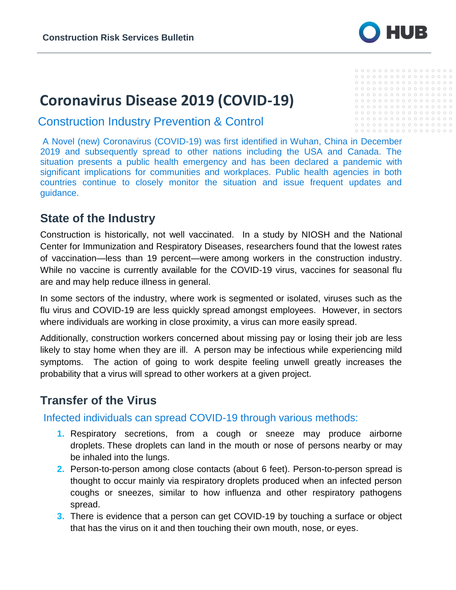

# **Coronavirus Disease 2019 (COVID-19)**

Construction Industry Prevention & Control

 $0000000000000000000$ 

A Novel (new) Coronavirus (COVID-19) was first identified in Wuhan, China in December 2019 and subsequently spread to other nations including the USA and Canada. The situation presents a public health emergency and has been declared a pandemic with significant implications for communities and workplaces. Public health agencies in both countries continue to closely monitor the situation and issue frequent updates and guidance.

### **State of the Industry**

Construction is historically, not well vaccinated. In a study by NIOSH and the National Center for Immunization and Respiratory Diseases, researchers found that the lowest rates of vaccination—less than 19 percent—were [among workers in the construction industry.](https://www.ishn.com/articles/107610-which-workers-are-getting-the-flu-vaccine) While no vaccine is currently available for the COVID-19 virus, vaccines for seasonal flu are and may help reduce illness in general.

In some sectors of the industry, where work is segmented or isolated, viruses such as the flu virus and COVID-19 are less quickly spread amongst employees. However, in sectors where individuals are working in close proximity, a virus can more easily spread.

Additionally, construction workers concerned about missing pay or losing their job are less likely to stay home when they are ill. A person may be infectious while experiencing mild symptoms. The action of going to work despite feeling unwell greatly increases the probability that a virus will spread to other workers at a given project.

### **Transfer of the Virus**

Infected individuals can spread COVID-19 through various methods:

- **1.** Respiratory secretions, from a cough or sneeze may produce airborne droplets. These droplets can land in the mouth or nose of persons nearby or may be inhaled into the lungs.
- **2.** Person-to-person among close contacts (about 6 feet). Person-to-person spread is thought to occur mainly via respiratory droplets produced when an infected person coughs or sneezes, similar to how influenza and other respiratory pathogens spread.
- **3.** There is evidence that a person can get COVID-19 by touching a surface or object that has the virus on it and then touching their own mouth, nose, or eyes.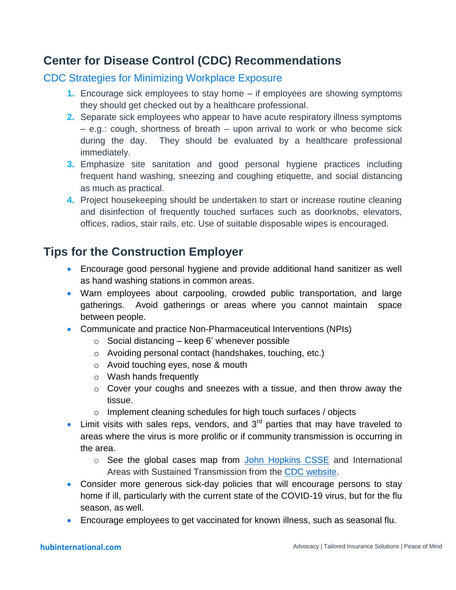### **Center for Disease Control (CDC) Recommendations**

#### CDC Strategies for Minimizing Workplace Exposure

- **1.** Encourage sick employees to stay home if employees are showing symptoms they should get checked out by a healthcare professional.
- **2.** Separate sick employees who appear to have acute respiratory illness symptoms – e.g.: cough, shortness of breath – upon arrival to work or who become sick during the day. They should be evaluated by a healthcare professional immediately.
- **3.** Emphasize site sanitation and good personal hygiene practices including frequent hand washing, sneezing and coughing etiquette, and social distancing as much as practical.
- **4.** Project housekeeping should be undertaken to start or increase routine cleaning and disinfection of frequently touched surfaces such as doorknobs, elevators, offices, radios, stair rails, etc. Use of suitable disposable wipes is encouraged.

## **Tips for the Construction Employer**

- Encourage good personal hygiene and provide additional hand sanitizer as well as hand washing stations in common areas.
- Warn employees about carpooling, crowded public transportation, and large gatherings. Avoid gatherings or areas where you cannot maintain space between people.
- Communicate and practice Non-Pharmaceutical Interventions (NPIs)
	- $\circ$  Social distancing keep 6' whenever possible
	- o Avoiding personal contact (handshakes, touching, etc.)
	- o Avoid touching eyes, nose & mouth
	- o Wash hands frequently
	- $\circ$  Cover your coughs and sneezes with a tissue, and then throw away the tissue.
	- o Implement cleaning schedules for high touch surfaces / objects
- **Limit visits with sales reps, vendors, and 3<sup>rd</sup> parties that may have traveled to** areas where the virus is more prolific or if community transmission is occurring in the area.
	- o See the global cases map from John [Hopkins](https://gisanddata.maps.arcgis.com/apps/opsdashboard/index.html?fbclid=IwAR09jGmuzw9jMiPwXpRSgJ0ZpuG6snmvoMk_aXIqFXD6JgjmMQrXCkX-F4s#/bda7594740fd40299423467b48e9ecf6) CSSE and International Areas with Sustained Transmission from the [CDC website.](https://www.cdc.gov/coronavirus/2019-ncov/about/transmission.html#geographic)
- Consider more generous sick-day policies that will encourage persons to stay home if ill, particularly with the current state of the COVID-19 virus, but for the flu season, as well.
- Encourage employees to get vaccinated for known illness, such as seasonal flu.